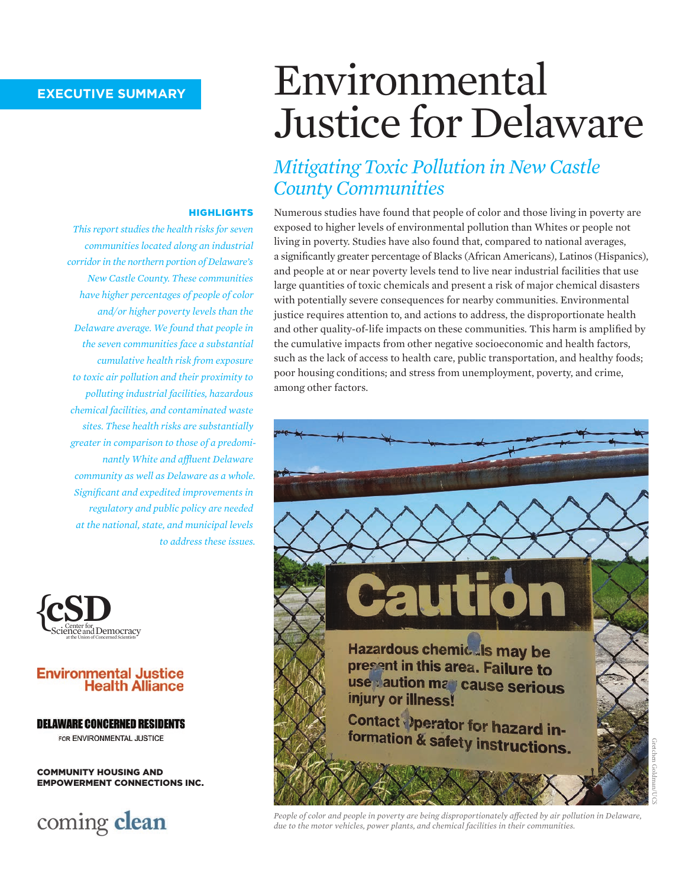# Environmental Justice for Delaware

### *Mitigating Toxic Pollution in New Castle County Communities*

Numerous studies have found that people of color and those living in poverty are exposed to higher levels of environmental pollution than Whites or people not living in poverty. Studies have also found that, compared to national averages, a significantly greater percentage of Blacks (African Americans), Latinos (Hispanics), and people at or near poverty levels tend to live near industrial facilities that use large quantities of toxic chemicals and present a risk of major chemical disasters with potentially severe consequences for nearby communities. Environmental justice requires attention to, and actions to address, the disproportionate health and other quality-of-life impacts on these communities. This harm is amplified by the cumulative impacts from other negative socioeconomic and health factors, such as the lack of access to health care, public transportation, and healthy foods; poor housing conditions; and stress from unemployment, poverty, and crime, among other factors.



#### **HIGHLIGHTS**

*This report studies the health risks for seven communities located along an industrial corridor in the northern portion of Delaware's New Castle County. These communities have higher percentages of people of color and/or higher poverty levels than the Delaware average. We found that people in the seven communities face a substantial cumulative health risk from exposure to toxic air pollution and their proximity to polluting industrial facilities, hazardous chemical facilities, and contaminated waste sites. These health risks are substantially greater in comparison to those of a predominantly White and affluent Delaware community as well as Delaware as a whole. Significant and expedited improvements in regulatory and public policy are needed at the national, state, and municipal levels to address these issues.*



#### **Environmental Justice Health Alliance**

#### **DELAWARE CONCERNED RESIDENTS**

FOR ENVIRONMENTAL JUSTICE

COMMUNITY HOUSING AND EMPOWERMENT CONNECTIONS INC.

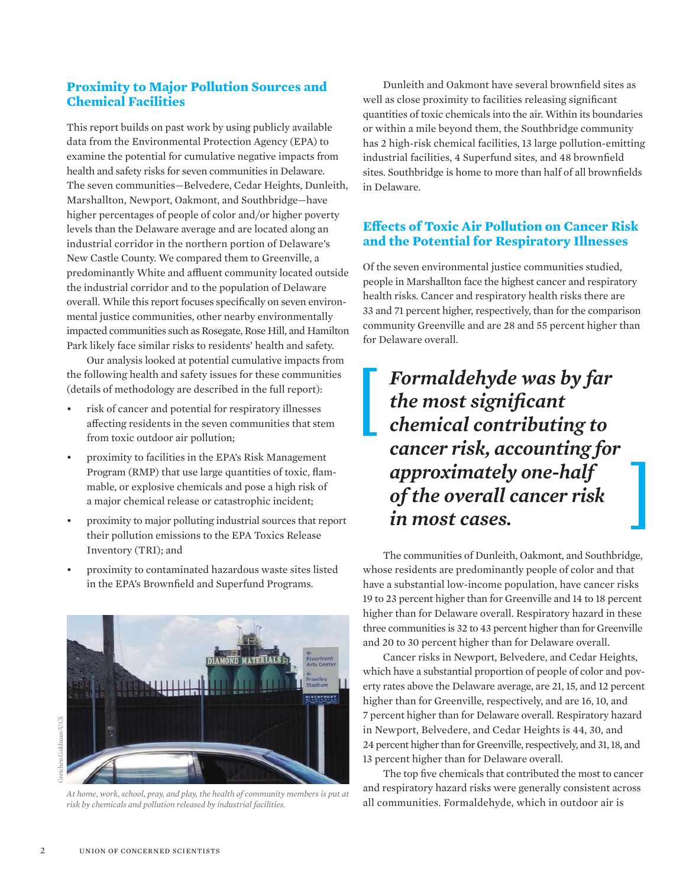#### **Proximity to Major Pollution Sources and Chemical Facilities**

This report builds on past work by using publicly available data from the Environmental Protection Agency (EPA) to examine the potential for cumulative negative impacts from health and safety risks for seven communities in Delaware. The seven communities—Belvedere, Cedar Heights, Dunleith, Marshallton, Newport, Oakmont, and Southbridge—have higher percentages of people of color and/or higher poverty levels than the Delaware average and are located along an industrial corridor in the northern portion of Delaware's New Castle County. We compared them to Greenville, a predominantly White and affluent community located outside the industrial corridor and to the population of Delaware overall. While this report focuses specifically on seven environmental justice communities, other nearby environmentally impacted communities such as Rosegate, Rose Hill, and Hamilton Park likely face similar risks to residents' health and safety.

Our analysis looked at potential cumulative impacts from the following health and safety issues for these communities (details of methodology are described in the full report):

- risk of cancer and potential for respiratory illnesses affecting residents in the seven communities that stem from toxic outdoor air pollution;
- proximity to facilities in the EPA's Risk Management Program (RMP) that use large quantities of toxic, flammable, or explosive chemicals and pose a high risk of a major chemical release or catastrophic incident;
- proximity to major polluting industrial sources that report their pollution emissions to the EPA Toxics Release Inventory (TRI); and
- proximity to contaminated hazardous waste sites listed in the EPA's Brownfield and Superfund Programs.



*At home, work, school, pray, and play, the health of community members is put at risk by chemicals and pollution released by industrial facilities.*

Dunleith and Oakmont have several brownfield sites as well as close proximity to facilities releasing significant quantities of toxic chemicals into the air. Within its boundaries or within a mile beyond them, the Southbridge community has 2 high-risk chemical facilities, 13 large pollution-emitting industrial facilities, 4 Superfund sites, and 48 brownfield sites. Southbridge is home to more than half of all brownfields in Delaware.

#### **Effects of Toxic Air Pollution on Cancer Risk and the Potential for Respiratory Illnesses**

Of the seven environmental justice communities studied, people in Marshallton face the highest cancer and respiratory health risks. Cancer and respiratory health risks there are 33 and 71 percent higher, respectively, than for the comparison community Greenville and are 28 and 55 percent higher than for Delaware overall.

## *Formaldehyde was by far the most significant chemical contributing to cancer risk, accounting for approximately one-half of the overall cancer risk in most cases.*

The communities of Dunleith, Oakmont, and Southbridge, whose residents are predominantly people of color and that have a substantial low-income population, have cancer risks 19 to 23 percent higher than for Greenville and 14 to 18 percent higher than for Delaware overall. Respiratory hazard in these three communities is 32 to 43 percent higher than for Greenville and 20 to 30 percent higher than for Delaware overall.

Cancer risks in Newport, Belvedere, and Cedar Heights, which have a substantial proportion of people of color and poverty rates above the Delaware average, are 21, 15, and 12 percent higher than for Greenville, respectively, and are 16, 10, and 7 percent higher than for Delaware overall. Respiratory hazard in Newport, Belvedere, and Cedar Heights is 44, 30, and 24 percent higher than for Greenville, respectively, and 31, 18, and 13 percent higher than for Delaware overall.

The top five chemicals that contributed the most to cancer and respiratory hazard risks were generally consistent across all communities. Formaldehyde, which in outdoor air is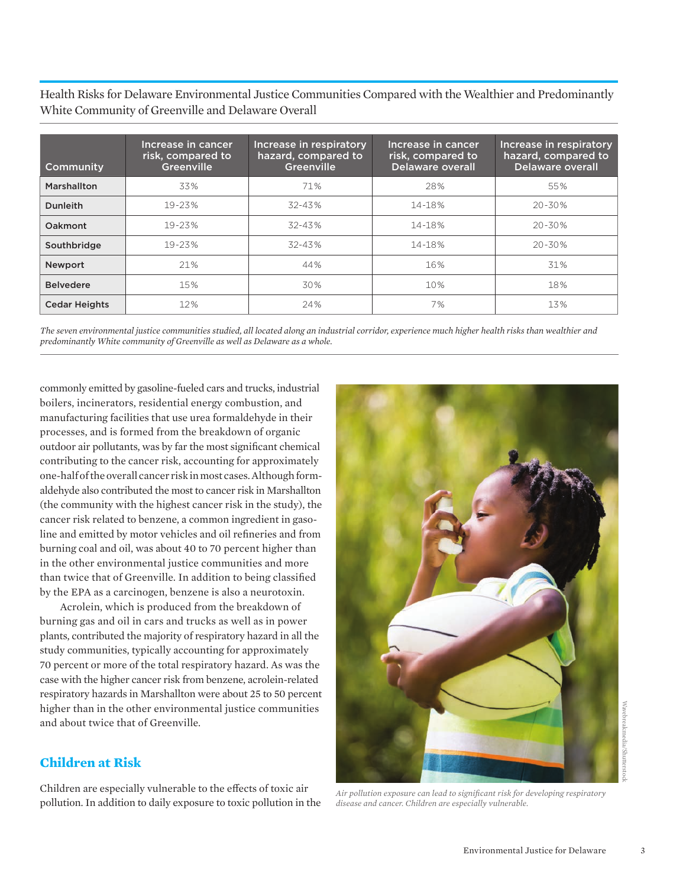Health Risks for Delaware Environmental Justice Communities Compared with the Wealthier and Predominantly White Community of Greenville and Delaware Overall

| Community            | Increase in cancer<br>risk, compared to<br>Greenville | Increase in respiratory<br>hazard, compared to<br>Greenville | Increase in cancer<br>risk, compared to<br><b>Delaware overall</b> | Increase in respiratory<br>hazard, compared to<br>Delaware overall |
|----------------------|-------------------------------------------------------|--------------------------------------------------------------|--------------------------------------------------------------------|--------------------------------------------------------------------|
| Marshallton          | 33%                                                   | 71%                                                          | 28%                                                                | 55%                                                                |
| <b>Dunleith</b>      | 19-23%                                                | $32 - 43%$                                                   | 14-18%                                                             | $20 - 30%$                                                         |
| Oakmont              | $19 - 23%$                                            | $32 - 43%$                                                   | 14-18%                                                             | 20-30%                                                             |
| Southbridge          | $19 - 23%$                                            | $32 - 43%$                                                   | 14-18%                                                             | $20 - 30%$                                                         |
| <b>Newport</b>       | 21%                                                   | 44%                                                          | 16%                                                                | 31%                                                                |
| <b>Belvedere</b>     | 15%                                                   | 30%                                                          | 10%                                                                | 18%                                                                |
| <b>Cedar Heights</b> | 12%                                                   | 24%                                                          | 7%                                                                 | 13%                                                                |

*The seven environmental justice communities studied, all located along an industrial corridor, experience much higher health risks than wealthier and predominantly White community of Greenville as well as Delaware as a whole.*

commonly emitted by gasoline-fueled cars and trucks, industrial boilers, incinerators, residential energy combustion, and manufacturing facilities that use urea formaldehyde in their processes, and is formed from the breakdown of organic outdoor air pollutants, was by far the most significant chemical contributing to the cancer risk, accounting for approximately one-half of the overall cancer risk in most cases. Although formaldehyde also contributed the most to cancer risk in Marshallton (the community with the highest cancer risk in the study), the cancer risk related to benzene, a common ingredient in gasoline and emitted by motor vehicles and oil refineries and from burning coal and oil, was about 40 to 70 percent higher than in the other environmental justice communities and more than twice that of Greenville. In addition to being classified by the EPA as a carcinogen, benzene is also a neurotoxin.

Acrolein, which is produced from the breakdown of burning gas and oil in cars and trucks as well as in power plants, contributed the majority of respiratory hazard in all the study communities, typically accounting for approximately 70 percent or more of the total respiratory hazard. As was the case with the higher cancer risk from benzene, acrolein-related respiratory hazards in Marshallton were about 25 to 50 percent higher than in the other environmental justice communities and about twice that of Greenville.

#### **Children at Risk**

Children are especially vulnerable to the effects of toxic air pollution. In addition to daily exposure to toxic pollution in the



*Air pollution exposure can lead to significant risk for developing respiratory disease and cancer. Children are especially vulnerable.*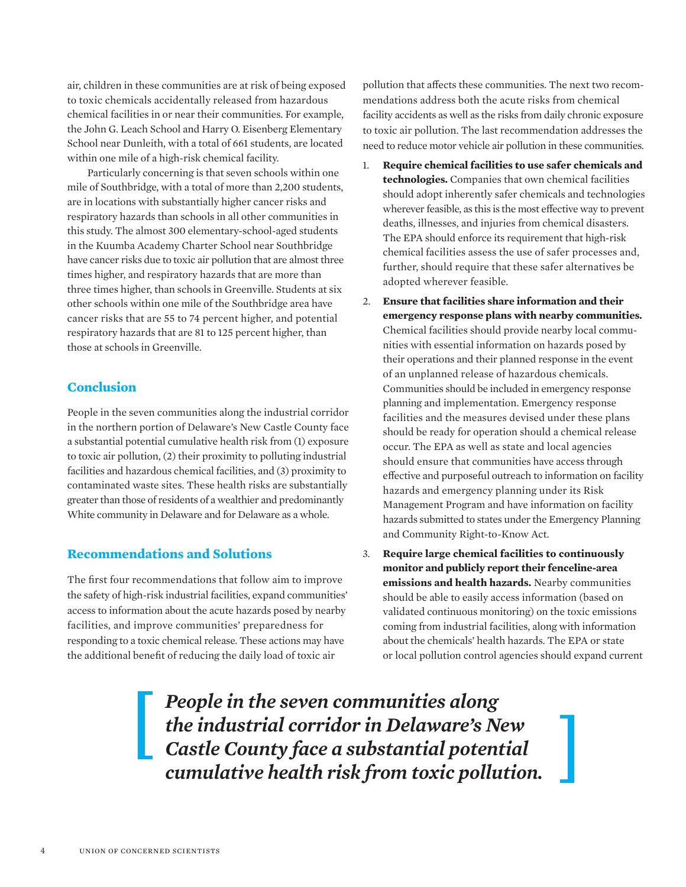air, children in these communities are at risk of being exposed to toxic chemicals accidentally released from hazardous chemical facilities in or near their communities. For example, the John G. Leach School and Harry O. Eisenberg Elementary School near Dunleith, with a total of 661 students, are located within one mile of a high-risk chemical facility.

Particularly concerning is that seven schools within one mile of Southbridge, with a total of more than 2,200 students, are in locations with substantially higher cancer risks and respiratory hazards than schools in all other communities in this study. The almost 300 elementary-school-aged students in the Kuumba Academy Charter School near Southbridge have cancer risks due to toxic air pollution that are almost three times higher, and respiratory hazards that are more than three times higher, than schools in Greenville. Students at six other schools within one mile of the Southbridge area have cancer risks that are 55 to 74 percent higher, and potential respiratory hazards that are 81 to 125 percent higher, than those at schools in Greenville.

#### **Conclusion**

People in the seven communities along the industrial corridor in the northern portion of Delaware's New Castle County face a substantial potential cumulative health risk from (1) exposure to toxic air pollution, (2) their proximity to polluting industrial facilities and hazardous chemical facilities, and (3) proximity to contaminated waste sites. These health risks are substantially greater than those of residents of a wealthier and predominantly White community in Delaware and for Delaware as a whole.

#### **Recommendations and Solutions**

The first four recommendations that follow aim to improve the safety of high-risk industrial facilities, expand communities' access to information about the acute hazards posed by nearby facilities, and improve communities' preparedness for responding to a toxic chemical release. These actions may have the additional benefit of reducing the daily load of toxic air

pollution that affects these communities. The next two recommendations address both the acute risks from chemical facility accidents as well as the risks from daily chronic exposure to toxic air pollution. The last recommendation addresses the need to reduce motor vehicle air pollution in these communities.

- 1. **Require chemical facilities to use safer chemicals and technologies.** Companies that own chemical facilities should adopt inherently safer chemicals and technologies wherever feasible, as this is the most effective way to prevent deaths, illnesses, and injuries from chemical disasters. The EPA should enforce its requirement that high-risk chemical facilities assess the use of safer processes and, further, should require that these safer alternatives be adopted wherever feasible.
- 2. **Ensure that facilities share information and their emergency response plans with nearby communities.**  Chemical facilities should provide nearby local communities with essential information on hazards posed by their operations and their planned response in the event of an unplanned release of hazardous chemicals. Communities should be included in emergency response planning and implementation. Emergency response facilities and the measures devised under these plans should be ready for operation should a chemical release occur. The EPA as well as state and local agencies should ensure that communities have access through effective and purposeful outreach to information on facility hazards and emergency planning under its Risk Management Program and have information on facility hazards submitted to states under the Emergency Planning and Community Right-to-Know Act.
- 3. **Require large chemical facilities to continuously monitor and publicly report their fenceline-area emissions and health hazards.** Nearby communities should be able to easily access information (based on validated continuous monitoring) on the toxic emissions coming from industrial facilities, along with information about the chemicals' health hazards. The EPA or state or local pollution control agencies should expand current

*People in the seven communities along the industrial corridor in Delaware's New Castle County face a substantial potential cumulative health risk from toxic pollution.*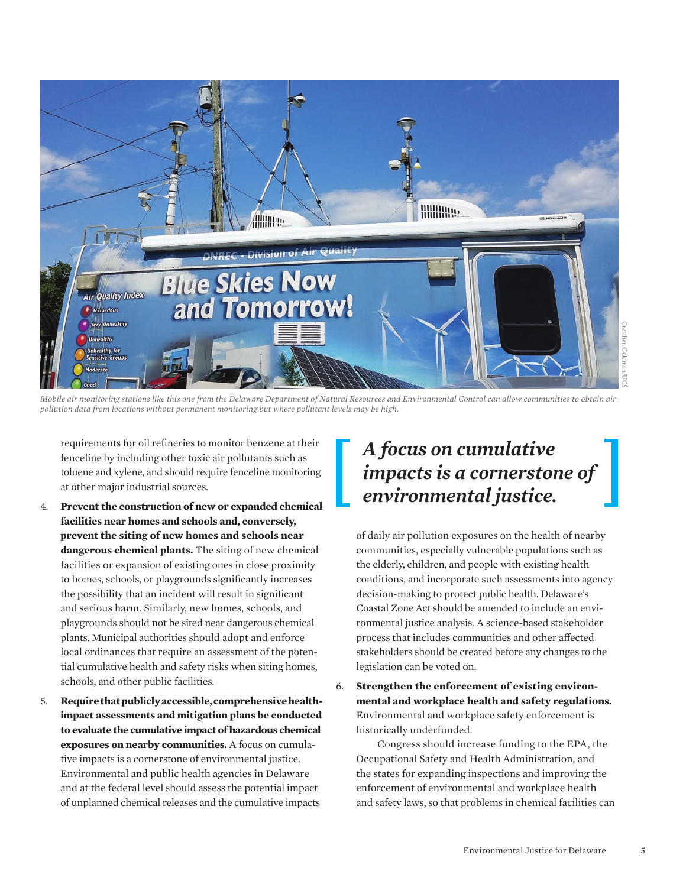

*Mobile air monitoring stations like this one from the Delaware Department of Natural Resources and Environmental Control can allow communities to obtain air pollution data from locations without permanent monitoring but where pollutant levels may be high.* 

requirements for oil refineries to monitor benzene at their fenceline by including other toxic air pollutants such as toluene and xylene, and should require fenceline monitoring at other major industrial sources.

- 4. **Prevent the construction of new or expanded chemical facilities near homes and schools and, conversely, prevent the siting of new homes and schools near dangerous chemical plants.** The siting of new chemical facilities or expansion of existing ones in close proximity to homes, schools, or playgrounds significantly increases the possibility that an incident will result in significant and serious harm. Similarly, new homes, schools, and playgrounds should not be sited near dangerous chemical plants. Municipal authorities should adopt and enforce local ordinances that require an assessment of the potential cumulative health and safety risks when siting homes, schools, and other public facilities.
- 5. **Require that publicly accessible, comprehensive healthimpact assessments and mitigation plans be conducted to evaluate the cumulative impact of hazardous chemical exposures on nearby communities.** A focus on cumulative impacts is a cornerstone of environmental justice. Environmental and public health agencies in Delaware and at the federal level should assess the potential impact of unplanned chemical releases and the cumulative impacts

## *A focus on cumulative impacts is a cornerstone of environmental justice.*

of daily air pollution exposures on the health of nearby communities, especially vulnerable populations such as the elderly, children, and people with existing health conditions, and incorporate such assessments into agency decision-making to protect public health. Delaware's Coastal Zone Act should be amended to include an environmental justice analysis. A science-based stakeholder process that includes communities and other affected stakeholders should be created before any changes to the legislation can be voted on.

6. **Strengthen the enforcement of existing environmental and workplace health and safety regulations.** Environmental and workplace safety enforcement is historically underfunded.

 Congress should increase funding to the EPA, the Occupational Safety and Health Administration, and the states for expanding inspections and improving the enforcement of environmental and workplace health and safety laws, so that problems in chemical facilities can